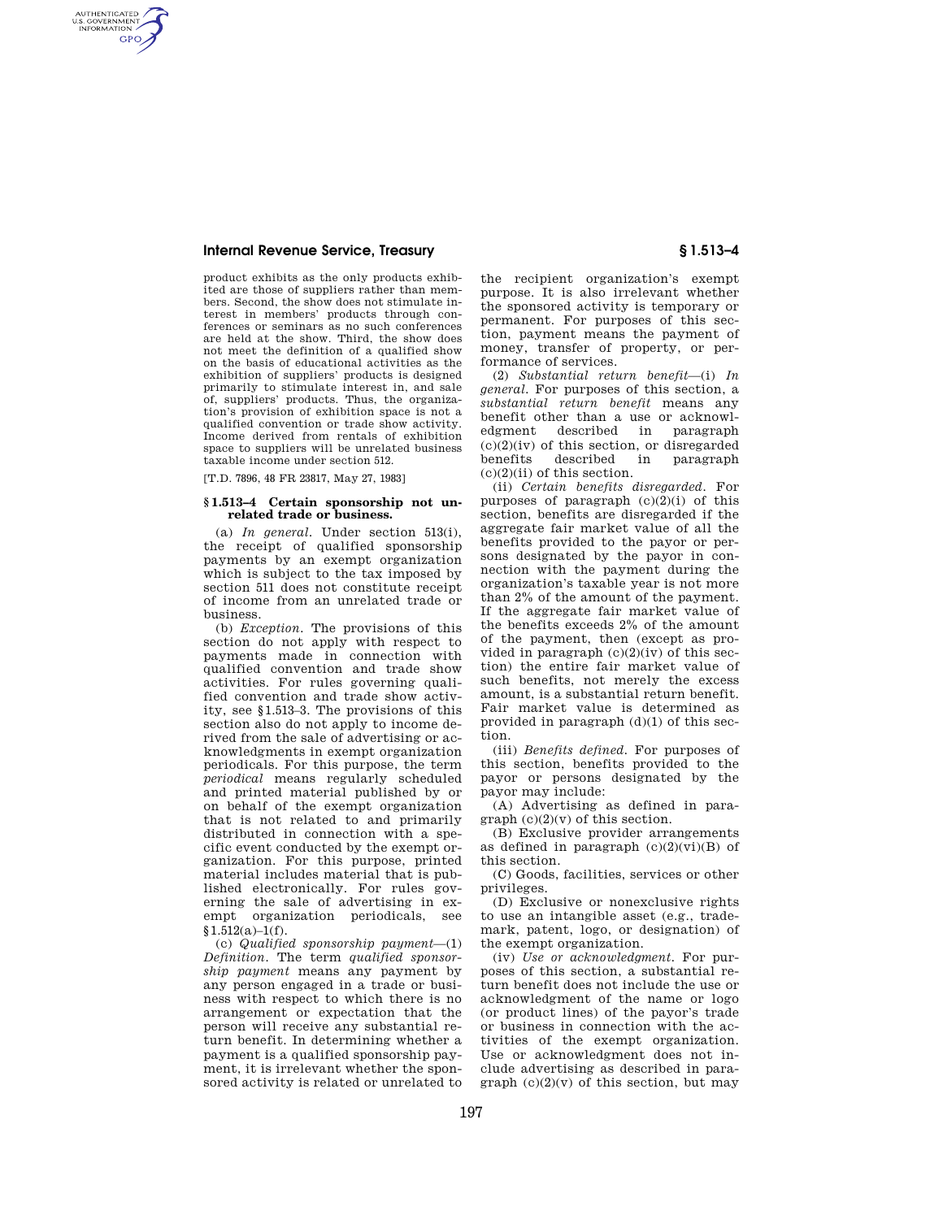## **Internal Revenue Service, Treasury § 1.513–4**

AUTHENTICATED<br>U.S. GOVERNMENT<br>INFORMATION **GPO** 

> product exhibits as the only products exhibited are those of suppliers rather than members. Second, the show does not stimulate interest in members' products through conferences or seminars as no such conferences are held at the show. Third, the show does not meet the definition of a qualified show on the basis of educational activities as the exhibition of suppliers' products is designed primarily to stimulate interest in, and sale of, suppliers' products. Thus, the organization's provision of exhibition space is not a qualified convention or trade show activity. Income derived from rentals of exhibition space to suppliers will be unrelated business taxable income under section 512.

[T.D. 7896, 48 FR 23817, May 27, 1983]

### **§ 1.513–4 Certain sponsorship not unrelated trade or business.**

(a) *In general.* Under section 513(i), the receipt of qualified sponsorship payments by an exempt organization which is subject to the tax imposed by section 511 does not constitute receipt of income from an unrelated trade or business.

(b) *Exception.* The provisions of this section do not apply with respect to payments made in connection with qualified convention and trade show activities. For rules governing qualified convention and trade show activity, see §1.513–3. The provisions of this section also do not apply to income derived from the sale of advertising or acknowledgments in exempt organization periodicals. For this purpose, the term *periodical* means regularly scheduled and printed material published by or on behalf of the exempt organization that is not related to and primarily distributed in connection with a specific event conducted by the exempt organization. For this purpose, printed material includes material that is published electronically. For rules governing the sale of advertising in exempt organization periodicals, see  $§1.512(a)-1(f).$ 

(c) *Qualified sponsorship payment*—(1) *Definition.* The term *qualified sponsorship payment* means any payment by any person engaged in a trade or business with respect to which there is no arrangement or expectation that the person will receive any substantial return benefit. In determining whether a payment is a qualified sponsorship payment, it is irrelevant whether the sponsored activity is related or unrelated to

the recipient organization's exempt purpose. It is also irrelevant whether the sponsored activity is temporary or permanent. For purposes of this section, payment means the payment of money, transfer of property, or performance of services.

(2) *Substantial return benefit*—(i) *In general.* For purposes of this section, a *substantial return benefit* means any benefit other than a use or acknowledgment described in paragraph described  $(c)(2)(iv)$  of this section, or disregarded benefits described in paragraph  $(c)(2)(ii)$  of this section.

(ii) *Certain benefits disregarded.* For purposes of paragraph  $(c)(2)(i)$  of this section, benefits are disregarded if the aggregate fair market value of all the benefits provided to the payor or persons designated by the payor in connection with the payment during the organization's taxable year is not more than 2% of the amount of the payment. If the aggregate fair market value of the benefits exceeds 2% of the amount of the payment, then (except as provided in paragraph  $(c)(2)(iv)$  of this section) the entire fair market value of such benefits, not merely the excess amount, is a substantial return benefit. Fair market value is determined as provided in paragraph (d)(1) of this section.

(iii) *Benefits defined.* For purposes of this section, benefits provided to the payor or persons designated by the payor may include:

(A) Advertising as defined in paragraph  $(c)(2)(v)$  of this section.

(B) Exclusive provider arrangements as defined in paragraph  $(c)(2)(vi)(B)$  of this section.

(C) Goods, facilities, services or other privileges.

(D) Exclusive or nonexclusive rights to use an intangible asset (e.g., trademark, patent, logo, or designation) of the exempt organization.

(iv) *Use or acknowledgment.* For purposes of this section, a substantial return benefit does not include the use or acknowledgment of the name or logo (or product lines) of the payor's trade or business in connection with the activities of the exempt organization. Use or acknowledgment does not include advertising as described in paragraph  $(c)(2)(v)$  of this section, but may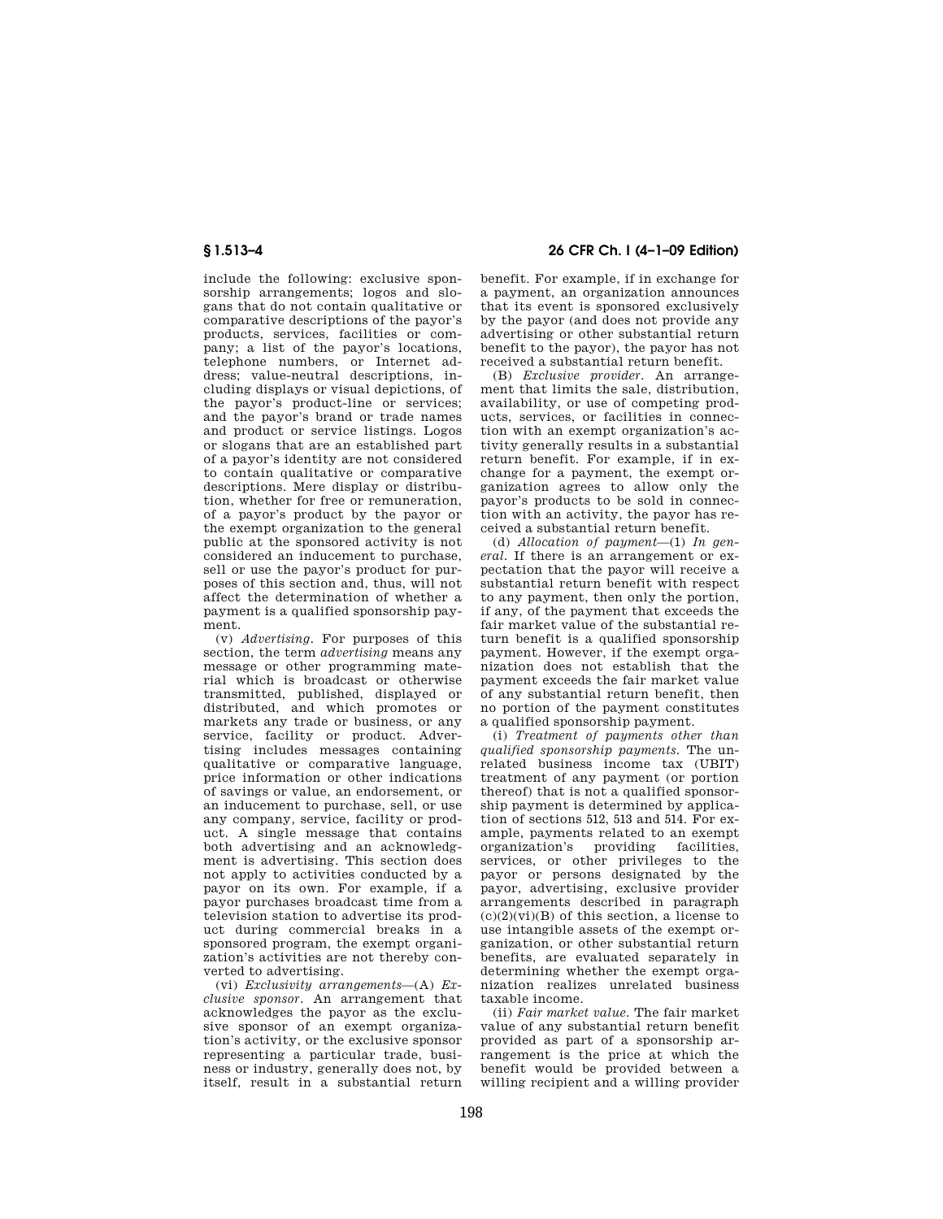include the following: exclusive sponsorship arrangements; logos and slogans that do not contain qualitative or comparative descriptions of the payor's products, services, facilities or company; a list of the payor's locations, telephone numbers, or Internet address; value-neutral descriptions, including displays or visual depictions, of the payor's product-line or services; and the payor's brand or trade names and product or service listings. Logos or slogans that are an established part of a payor's identity are not considered to contain qualitative or comparative descriptions. Mere display or distribution, whether for free or remuneration, of a payor's product by the payor or the exempt organization to the general public at the sponsored activity is not considered an inducement to purchase, sell or use the payor's product for purposes of this section and, thus, will not affect the determination of whether a payment is a qualified sponsorship payment.

(v) *Advertising.* For purposes of this section, the term *advertising* means any message or other programming material which is broadcast or otherwise transmitted, published, displayed or distributed, and which promotes or markets any trade or business, or any service, facility or product. Advertising includes messages containing qualitative or comparative language, price information or other indications of savings or value, an endorsement, or an inducement to purchase, sell, or use any company, service, facility or product. A single message that contains both advertising and an acknowledgment is advertising. This section does not apply to activities conducted by a payor on its own. For example, if a payor purchases broadcast time from a television station to advertise its product during commercial breaks in a sponsored program, the exempt organization's activities are not thereby converted to advertising.

(vi) *Exclusivity arrangements*—(A) *Exclusive sponsor.* An arrangement that acknowledges the payor as the exclusive sponsor of an exempt organization's activity, or the exclusive sponsor representing a particular trade, business or industry, generally does not, by itself, result in a substantial return

**§ 1.513–4 26 CFR Ch. I (4–1–09 Edition)** 

benefit. For example, if in exchange for a payment, an organization announces that its event is sponsored exclusively by the payor (and does not provide any advertising or other substantial return benefit to the payor), the payor has not received a substantial return benefit.

(B) *Exclusive provider.* An arrangement that limits the sale, distribution, availability, or use of competing products, services, or facilities in connection with an exempt organization's activity generally results in a substantial return benefit. For example, if in exchange for a payment, the exempt organization agrees to allow only the payor's products to be sold in connection with an activity, the payor has received a substantial return benefit.

(d) *Allocation of payment*—(1) *In general.* If there is an arrangement or expectation that the payor will receive a substantial return benefit with respect to any payment, then only the portion, if any, of the payment that exceeds the fair market value of the substantial return benefit is a qualified sponsorship payment. However, if the exempt organization does not establish that the payment exceeds the fair market value of any substantial return benefit, then no portion of the payment constitutes a qualified sponsorship payment.

(i) *Treatment of payments other than qualified sponsorship payments.* The unrelated business income tax (UBIT) treatment of any payment (or portion thereof) that is not a qualified sponsorship payment is determined by application of sections 512, 513 and 514. For example, payments related to an exempt organization's providing facilities, services, or other privileges to the payor or persons designated by the payor, advertising, exclusive provider arrangements described in paragraph  $(c)(2)(vi)(B)$  of this section, a license to use intangible assets of the exempt organization, or other substantial return benefits, are evaluated separately in determining whether the exempt organization realizes unrelated business taxable income.

(ii) *Fair market value.* The fair market value of any substantial return benefit provided as part of a sponsorship arrangement is the price at which the benefit would be provided between a willing recipient and a willing provider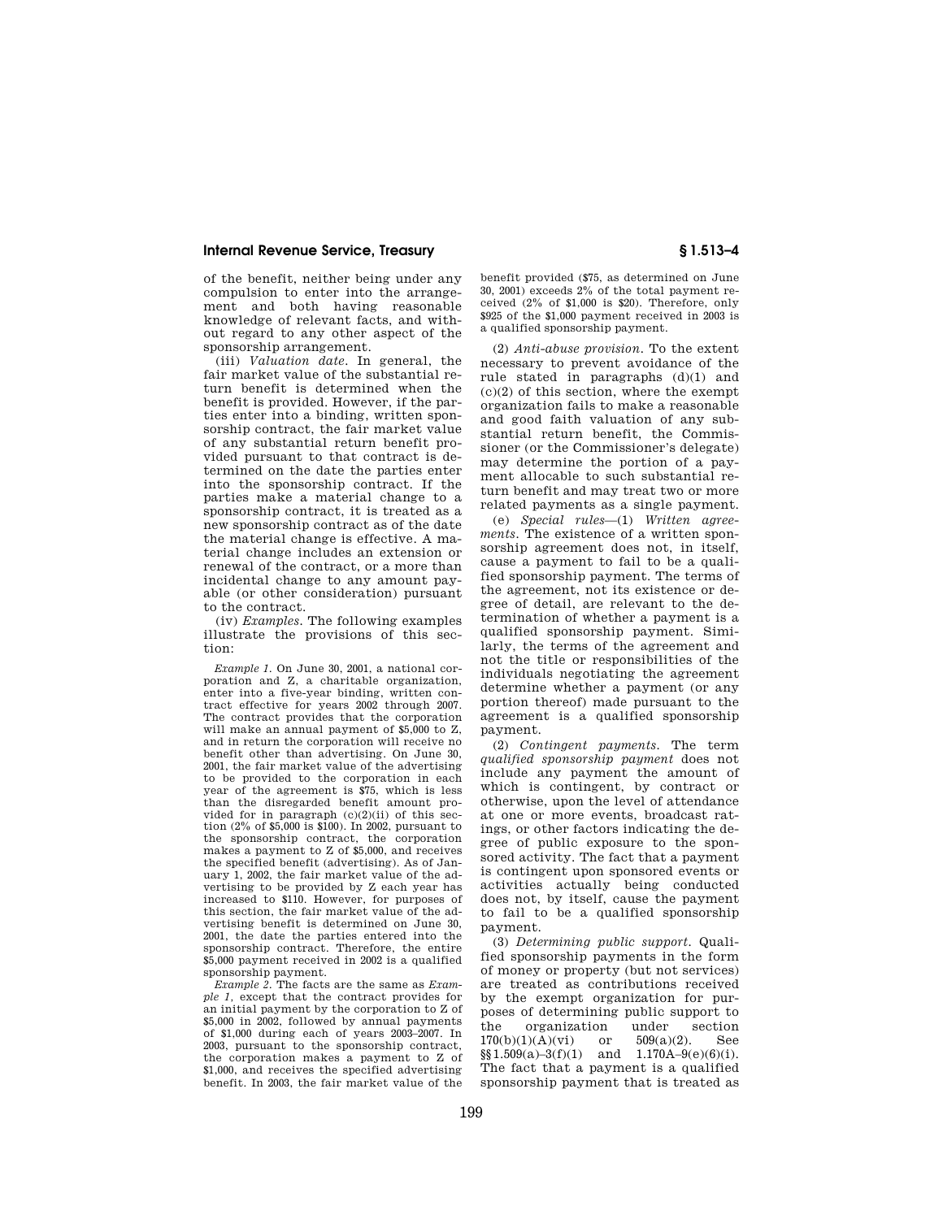## **Internal Revenue Service, Treasury § 1.513–4**

of the benefit, neither being under any compulsion to enter into the arrangement and both having reasonable knowledge of relevant facts, and without regard to any other aspect of the sponsorship arrangement.

(iii) *Valuation date.* In general, the fair market value of the substantial return benefit is determined when the benefit is provided. However, if the parties enter into a binding, written sponsorship contract, the fair market value of any substantial return benefit provided pursuant to that contract is determined on the date the parties enter into the sponsorship contract. If the parties make a material change to a sponsorship contract, it is treated as a new sponsorship contract as of the date the material change is effective. A material change includes an extension or renewal of the contract, or a more than incidental change to any amount payable (or other consideration) pursuant to the contract.

(iv) *Examples.* The following examples illustrate the provisions of this section:

*Example 1.* On June 30, 2001, a national corporation and Z, a charitable organization, enter into a five-year binding, written contract effective for years 2002 through 2007. The contract provides that the corporation will make an annual payment of \$5,000 to Z, and in return the corporation will receive no benefit other than advertising. On June 30, 2001, the fair market value of the advertising to be provided to the corporation in each year of the agreement is \$75, which is less than the disregarded benefit amount provided for in paragraph  $(c)(2)(ii)$  of this section (2% of \$5,000 is \$100). In 2002, pursuant to the sponsorship contract, the corporation makes a payment to Z of \$5,000, and receives the specified benefit (advertising). As of January 1, 2002, the fair market value of the advertising to be provided by Z each year has increased to \$110. However, for purposes of this section, the fair market value of the advertising benefit is determined on June 30, 2001, the date the parties entered into the sponsorship contract. Therefore, the entire \$5,000 payment received in 2002 is a qualified sponsorship payment.

*Example 2.* The facts are the same as *Example 1,* except that the contract provides for an initial payment by the corporation to Z of \$5,000 in 2002, followed by annual payments of \$1,000 during each of years 2003–2007. In 2003, pursuant to the sponsorship contract, the corporation makes a payment to Z of \$1,000, and receives the specified advertising benefit. In 2003, the fair market value of the

benefit provided (\$75, as determined on June 30, 2001) exceeds 2% of the total payment received (2% of \$1,000 is \$20). Therefore, only \$925 of the \$1,000 payment received in 2003 is a qualified sponsorship payment.

(2) *Anti-abuse provision.* To the extent necessary to prevent avoidance of the rule stated in paragraphs (d)(1) and  $(c)(2)$  of this section, where the exempt organization fails to make a reasonable and good faith valuation of any substantial return benefit, the Commissioner (or the Commissioner's delegate) may determine the portion of a payment allocable to such substantial return benefit and may treat two or more related payments as a single payment.

(e) *Special rules*—(1) *Written agreements.* The existence of a written sponsorship agreement does not, in itself, cause a payment to fail to be a qualified sponsorship payment. The terms of the agreement, not its existence or degree of detail, are relevant to the determination of whether a payment is a qualified sponsorship payment. Similarly, the terms of the agreement and not the title or responsibilities of the individuals negotiating the agreement determine whether a payment (or any portion thereof) made pursuant to the agreement is a qualified sponsorship payment.

(2) *Contingent payments.* The term *qualified sponsorship payment* does not include any payment the amount of which is contingent, by contract or otherwise, upon the level of attendance at one or more events, broadcast ratings, or other factors indicating the degree of public exposure to the sponsored activity. The fact that a payment is contingent upon sponsored events or activities actually being conducted does not, by itself, cause the payment to fail to be a qualified sponsorship payment.

(3) *Determining public support.* Qualified sponsorship payments in the form of money or property (but not services) are treated as contributions received by the exempt organization for purposes of determining public support to the organization under section  $170(b)(1)(A)(vi)$  or  $509(a)(2)$ . See  $$§1.509(a)-3(f)(1)$  and  $1.170A-9(e)(6)(i)$ . The fact that a payment is a qualified sponsorship payment that is treated as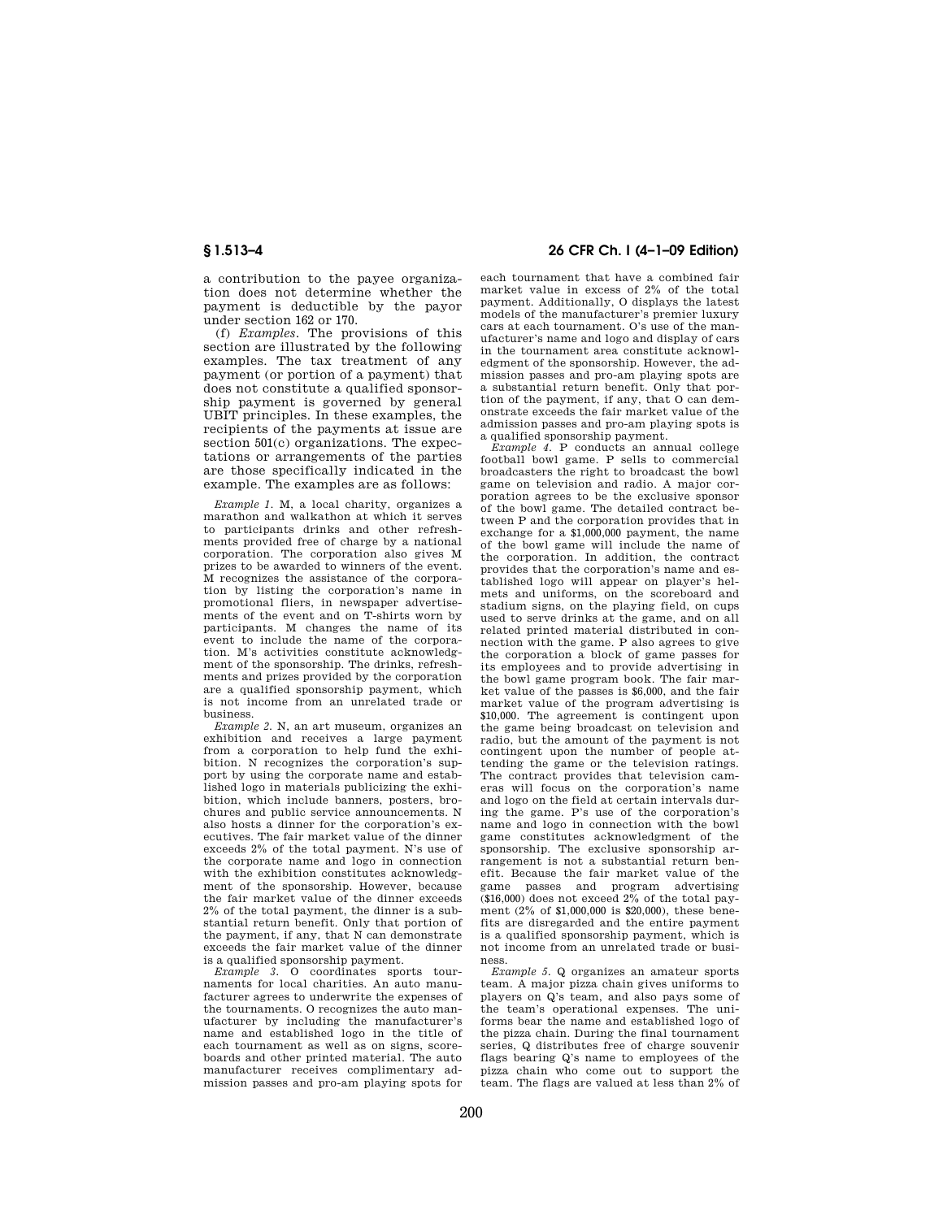a contribution to the payee organization does not determine whether the payment is deductible by the payor under section 162 or 170.

(f) *Examples.* The provisions of this section are illustrated by the following examples. The tax treatment of any payment (or portion of a payment) that does not constitute a qualified sponsorship payment is governed by general UBIT principles. In these examples, the recipients of the payments at issue are section 501(c) organizations. The expectations or arrangements of the parties are those specifically indicated in the example. The examples are as follows:

*Example 1.* M, a local charity, organizes a marathon and walkathon at which it serves to participants drinks and other refreshments provided free of charge by a national corporation. The corporation also gives M prizes to be awarded to winners of the event. M recognizes the assistance of the corporation by listing the corporation's name in promotional fliers, in newspaper advertisements of the event and on T-shirts worn by participants. M changes the name of its event to include the name of the corporation. M's activities constitute acknowledgment of the sponsorship. The drinks, refreshments and prizes provided by the corporation are a qualified sponsorship payment, which is not income from an unrelated trade or business.

*Example 2.* N, an art museum, organizes an exhibition and receives a large payment from a corporation to help fund the exhibition. N recognizes the corporation's support by using the corporate name and established logo in materials publicizing the exhibition, which include banners, posters, brochures and public service announcements. N also hosts a dinner for the corporation's executives. The fair market value of the dinner exceeds 2% of the total payment. N's use of the corporate name and logo in connection with the exhibition constitutes acknowledgment of the sponsorship. However, because the fair market value of the dinner exceeds 2% of the total payment, the dinner is a substantial return benefit. Only that portion of the payment, if any, that N can demonstrate exceeds the fair market value of the dinner is a qualified sponsorship payment.

*Example 3.* O coordinates sports tournaments for local charities. An auto manufacturer agrees to underwrite the expenses of the tournaments. O recognizes the auto manufacturer by including the manufacturer's name and established logo in the title of each tournament as well as on signs, scoreboards and other printed material. The auto manufacturer receives complimentary admission passes and pro-am playing spots for

# **§ 1.513–4 26 CFR Ch. I (4–1–09 Edition)**

each tournament that have a combined fair market value in excess of 2% of the total payment. Additionally, O displays the latest models of the manufacturer's premier luxury cars at each tournament. O's use of the manufacturer's name and logo and display of cars in the tournament area constitute acknowledgment of the sponsorship. However, the admission passes and pro-am playing spots are a substantial return benefit. Only that portion of the payment, if any, that O can demonstrate exceeds the fair market value of the admission passes and pro-am playing spots is a qualified sponsorship payment.

*Example 4.* P conducts an annual college football bowl game. P sells to commercial broadcasters the right to broadcast the bowl game on television and radio. A major corporation agrees to be the exclusive sponsor of the bowl game. The detailed contract between P and the corporation provides that in exchange for a \$1,000,000 payment, the name of the bowl game will include the name of the corporation. In addition, the contract provides that the corporation's name and established logo will appear on player's helmets and uniforms, on the scoreboard and stadium signs, on the playing field, on cups used to serve drinks at the game, and on all related printed material distributed in connection with the game. P also agrees to give the corporation a block of game passes for its employees and to provide advertising in the bowl game program book. The fair market value of the passes is \$6,000, and the fair market value of the program advertising is \$10,000. The agreement is contingent upon the game being broadcast on television and radio, but the amount of the payment is not contingent upon the number of people attending the game or the television ratings. The contract provides that television cameras will focus on the corporation's name and logo on the field at certain intervals during the game. P's use of the corporation's name and logo in connection with the bowl game constitutes acknowledgment of the sponsorship. The exclusive sponsorship arrangement is not a substantial return benefit. Because the fair market value of the game passes and program advertising  $(16,000)$  does not exceed  $2\%$  of the total payment (2% of \$1,000,000 is \$20,000), these benefits are disregarded and the entire payment is a qualified sponsorship payment, which is not income from an unrelated trade or business.

*Example 5.* Q organizes an amateur sports team. A major pizza chain gives uniforms to players on Q's team, and also pays some of the team's operational expenses. The uniforms bear the name and established logo of the pizza chain. During the final tournament series, Q distributes free of charge souvenir flags bearing Q's name to employees of the pizza chain who come out to support the team. The flags are valued at less than 2% of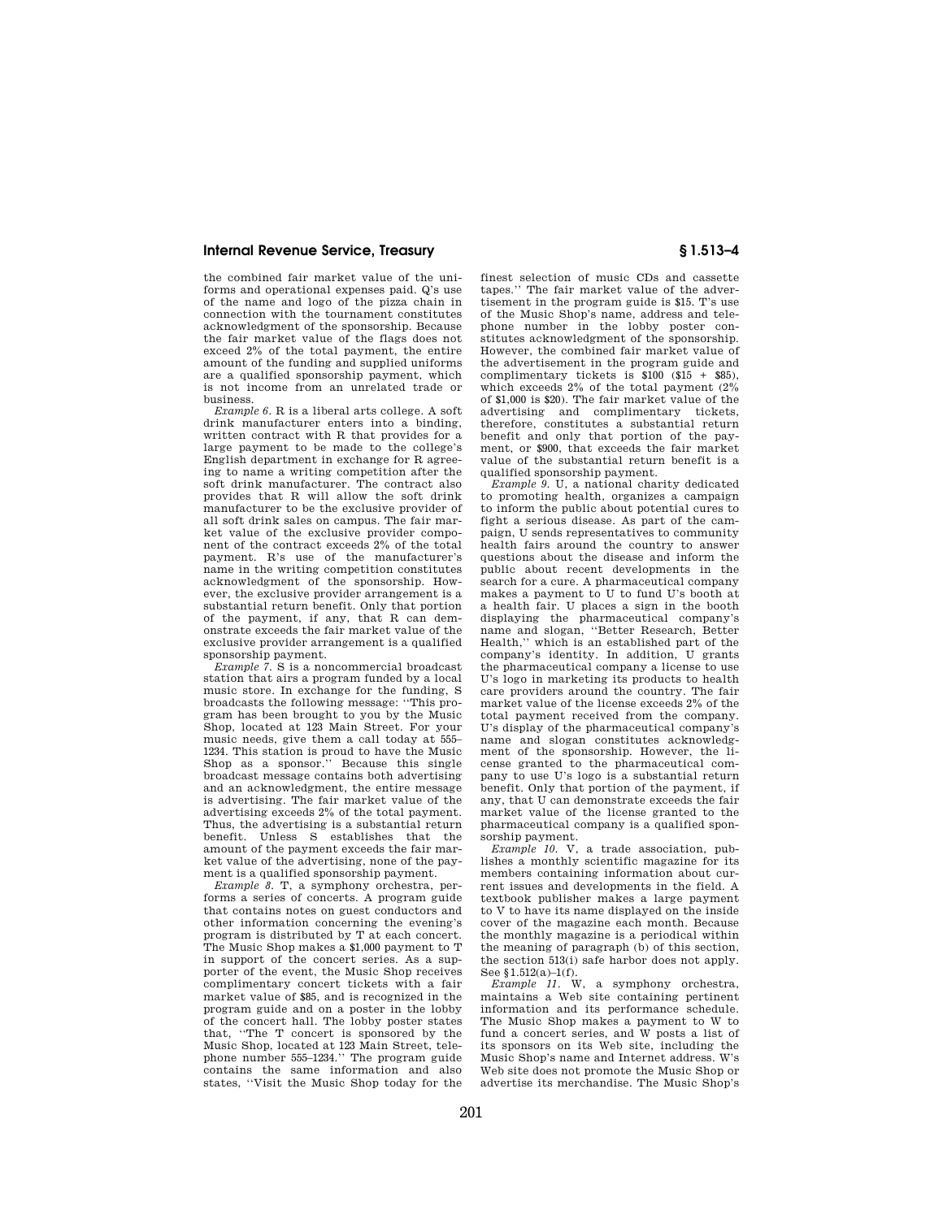## **Internal Revenue Service, Treasury § 1.513–4**

the combined fair market value of the uniforms and operational expenses paid. Q's use of the name and logo of the pizza chain in connection with the tournament constitutes acknowledgment of the sponsorship. Because the fair market value of the flags does not exceed 2% of the total payment, the entire amount of the funding and supplied uniforms are a qualified sponsorship payment, which is not income from an unrelated trade or business.

*Example 6.* R is a liberal arts college. A soft drink manufacturer enters into a binding, written contract with R that provides for a large payment to be made to the college's English department in exchange for R agreeing to name a writing competition after the soft drink manufacturer. The contract also provides that R will allow the soft drink manufacturer to be the exclusive provider of all soft drink sales on campus. The fair market value of the exclusive provider component of the contract exceeds 2% of the total payment. R's use of the manufacturer's name in the writing competition constitutes acknowledgment of the sponsorship. However, the exclusive provider arrangement is a substantial return benefit. Only that portion of the payment, if any, that R can demonstrate exceeds the fair market value of the exclusive provider arrangement is a qualified sponsorship payment.

*Example 7.* S is a noncommercial broadcast station that airs a program funded by a local music store. In exchange for the funding, S broadcasts the following message: ''This program has been brought to you by the Music Shop, located at 123 Main Street. For your music needs, give them a call today at 555– 1234. This station is proud to have the Music Shop as a sponsor.'' Because this single broadcast message contains both advertising and an acknowledgment, the entire message is advertising. The fair market value of the advertising exceeds 2% of the total payment. Thus, the advertising is a substantial return benefit. Unless S establishes that the amount of the payment exceeds the fair market value of the advertising, none of the payment is a qualified sponsorship payment.

*Example 8.* T, a symphony orchestra, performs a series of concerts. A program guide that contains notes on guest conductors and other information concerning the evening's program is distributed by T at each concert. The Music Shop makes a \$1,000 payment to T in support of the concert series. As a supporter of the event, the Music Shop receives complimentary concert tickets with a fair market value of \$85, and is recognized in the program guide and on a poster in the lobby of the concert hall. The lobby poster states that, ''The T concert is sponsored by the Music Shop, located at 123 Main Street, telephone number 555–1234.'' The program guide contains the same information and also states, ''Visit the Music Shop today for the

finest selection of music CDs and cassette tapes.'' The fair market value of the advertisement in the program guide is \$15. T's use of the Music Shop's name, address and telephone number in the lobby poster constitutes acknowledgment of the sponsorship. However, the combined fair market value of the advertisement in the program guide and complimentary tickets is  $$100$   $$15 + $85$ ). which exceeds  $2\%$  of the total payment  $(2\%$ of \$1,000 is \$20). The fair market value of the advertising and complimentary tickets, therefore, constitutes a substantial return benefit and only that portion of the payment, or \$900, that exceeds the fair market value of the substantial return benefit is a qualified sponsorship payment.

*Example 9.* U, a national charity dedicated to promoting health, organizes a campaign to inform the public about potential cures to fight a serious disease. As part of the campaign, U sends representatives to community health fairs around the country to answer questions about the disease and inform the public about recent developments in the search for a cure. A pharmaceutical company makes a payment to U to fund U's booth at a health fair. U places a sign in the booth displaying the pharmaceutical company's name and slogan, ''Better Research, Better Health,'' which is an established part of the company's identity. In addition, U grants the pharmaceutical company a license to use U's logo in marketing its products to health care providers around the country. The fair market value of the license exceeds 2% of the total payment received from the company. U's display of the pharmaceutical company's name and slogan constitutes acknowledgment of the sponsorship. However, the license granted to the pharmaceutical company to use U's logo is a substantial return benefit. Only that portion of the payment, if any, that U can demonstrate exceeds the fair market value of the license granted to the pharmaceutical company is a qualified sponsorship payment.

*Example 10.* V, a trade association, publishes a monthly scientific magazine for its members containing information about current issues and developments in the field. A textbook publisher makes a large payment to V to have its name displayed on the inside cover of the magazine each month. Because the monthly magazine is a periodical within the meaning of paragraph (b) of this section, the section 513(i) safe harbor does not apply. See §1.512(a)–1(f).

*Example 11.* W, a symphony orchestra, maintains a Web site containing pertinent information and its performance schedule. The Music Shop makes a payment to W to fund a concert series, and W posts a list of its sponsors on its Web site, including the Music Shop's name and Internet address. W's Web site does not promote the Music Shop or advertise its merchandise. The Music Shop's